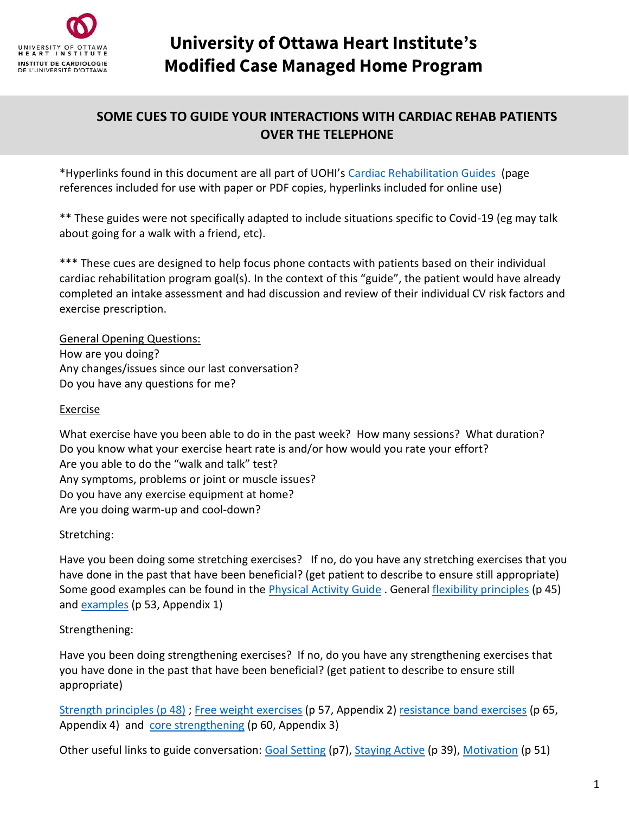

# **University of Ottawa Heart Institute's Modified Case Managed Home Program**

## **SOME CUES TO GUIDE YOUR INTERACTIONS WITH CARDIAC REHAB PATIENTS OVER THE TELEPHONE**

\*Hyperlinks found in this document are all part of UOHI's [Cardiac Rehabilitation Guides](https://www.ottawaheart.ca/patients-visitors/tools-and-resources/cardiac-rehabilitation-guides) (page references included for use with paper or PDF copies, hyperlinks included for online use)

\*\* These guides were not specifically adapted to include situations specific to Covid-19 (eg may talk about going for a walk with a friend, etc).

\*\*\* These cues are designed to help focus phone contacts with patients based on their individual cardiac rehabilitation program goal(s). In the context of this "guide", the patient would have already completed an intake assessment and had discussion and review of their individual CV risk factors and exercise prescription.

General Opening Questions: How are you doing? Any changes/issues since our last conversation? Do you have any questions for me?

#### Exercise

What exercise have you been able to do in the past week? How many sessions? What duration? Do you know what your exercise heart rate is and/or how would you rate your effort? Are you able to do the "walk and talk" test? Any symptoms, problems or joint or muscle issues? Do you have any exercise equipment at home? Are you doing warm-up and cool-down?

## Stretching:

Have you been doing some stretching exercises? If no, do you have any stretching exercises that you have done in the past that have been beneficial? (get patient to describe to ensure still appropriate) Some good examples can be found in the *Physical Activity Guide* . General [flexibility principles](https://www.ottawaheart.ca/cardiac-rehabilitation-physical-activity-guide/stretching-improve-flexibility) (p 45) and [examples](https://www.ottawaheart.ca/cardiac-rehabilitation-physical-activity-guide/appendix-1-stretching-exercises) (p 53, Appendix 1)

## Strengthening:

Have you been doing strengthening exercises? If no, do you have any strengthening exercises that you have done in the past that have been beneficial? (get patient to describe to ensure still appropriate)

[Strength principles](https://www.ottawaheart.ca/cardiac-rehabilitation-physical-activity-guide/strength-training) (p 48) ; [Free weight exercises](https://www.ottawaheart.ca/cardiac-rehabilitation-physical-activity-guide/appendix-2-free-weight-exercises) (p 57, Appendix 2[\) resistance band exercises](https://www.ottawaheart.ca/cardiac-rehabilitation-physical-activity-guide/appendix-4-elastic-band-exercises) (p 65, Appendix 4) and [core strengthening](https://www.ottawaheart.ca/cardiac-rehabilitation-physical-activity-guide/appendix-3-core-strengthening-exercises) (p 60, Appendix 3)

Other useful links to guide conversation: [Goal Setting](https://www.ottawaheart.ca/cardiac-rehabilitation-physical-activity-guide/goal-setting) (p7), [Staying Active](https://www.ottawaheart.ca/cardiac-rehabilitation-physical-activity-guide/tips-staying-active) (p 39)[, Motivation](https://www.ottawaheart.ca/cardiac-rehabilitation-physical-activity-guide/getting-and-staying-motivated) (p 51)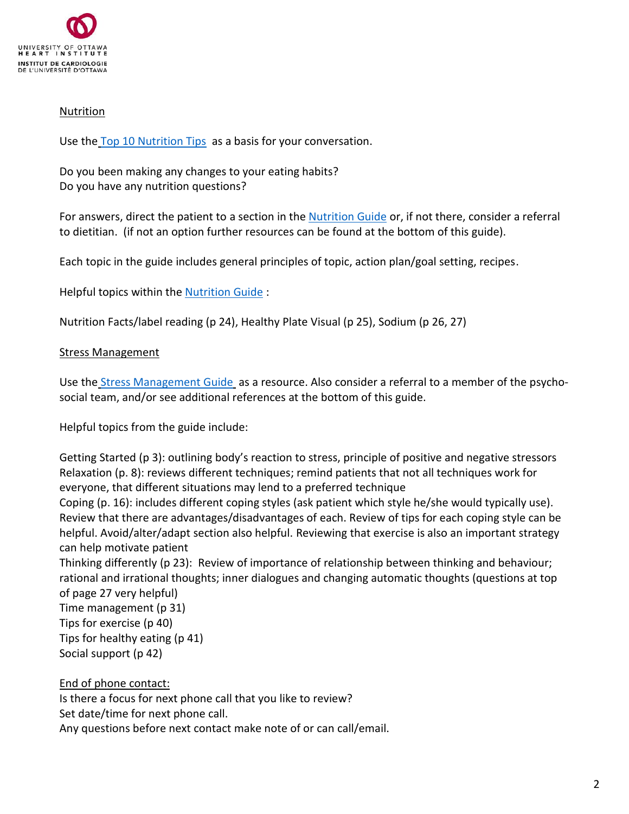

#### Nutrition

Use the [Top 10 Nutrition Tips](https://www.ottawaheart.ca/document/top-10-tips-healthy-eating) as a basis for your conversation.

Do you been making any changes to your eating habits? Do you have any nutrition questions?

For answers, direct the patient to a section in the [Nutrition Guide](https://www.ottawaheart.ca/document/cardiac-rehabilitation-nutrition) or, if not there, consider a referral to dietitian. (if not an option further resources can be found at the bottom of this guide).

Each topic in the guide includes general principles of topic, action plan/goal setting, recipes.

Helpful topics within the [Nutrition Guide](https://www.ottawaheart.ca/document/cardiac-rehabilitation-nutrition) :

Nutrition Facts/label reading (p 24), Healthy Plate Visual (p 25), Sodium (p 26, 27)

#### Stress Management

Use the [Stress Management Guide](https://www.ottawaheart.ca/document/cardiac-rehabilitation-stress-management) as a resource. Also consider a referral to a member of the psychosocial team, and/or see additional references at the bottom of this guide.

Helpful topics from the guide include:

Getting Started (p 3): outlining body's reaction to stress, principle of positive and negative stressors Relaxation (p. 8): reviews different techniques; remind patients that not all techniques work for everyone, that different situations may lend to a preferred technique

Coping (p. 16): includes different coping styles (ask patient which style he/she would typically use). Review that there are advantages/disadvantages of each. Review of tips for each coping style can be helpful. Avoid/alter/adapt section also helpful. Reviewing that exercise is also an important strategy can help motivate patient

Thinking differently (p 23): Review of importance of relationship between thinking and behaviour; rational and irrational thoughts; inner dialogues and changing automatic thoughts (questions at top of page 27 very helpful)

Time management (p 31) Tips for exercise (p 40) Tips for healthy eating (p 41) Social support (p 42)

End of phone contact: Is there a focus for next phone call that you like to review? Set date/time for next phone call. Any questions before next contact make note of or can call/email.